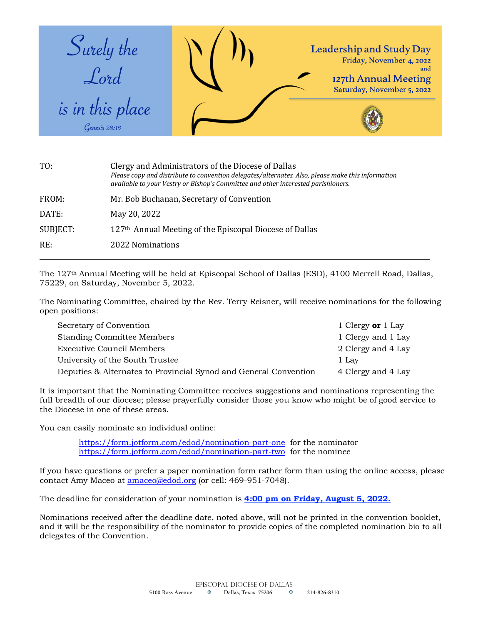

| Clergy and Administrators of the Diocese of Dallas<br>Please copy and distribute to convention delegates/alternates. Also, please make this information<br>available to your Vestry or Bishop's Committee and other interested parishioners. |
|----------------------------------------------------------------------------------------------------------------------------------------------------------------------------------------------------------------------------------------------|
| Mr. Bob Buchanan, Secretary of Convention                                                                                                                                                                                                    |
| May 20, 2022                                                                                                                                                                                                                                 |
| 127 <sup>th</sup> Annual Meeting of the Episcopal Diocese of Dallas                                                                                                                                                                          |
| 2022 Nominations                                                                                                                                                                                                                             |
|                                                                                                                                                                                                                                              |

The 127th Annual Meeting will be held at Episcopal School of Dallas (ESD), 4100 Merrell Road, Dallas, 75229, on Saturday, November 5, 2022.

The Nominating Committee, chaired by the Rev. Terry Reisner, will receive nominations for the following open positions:

| Secretary of Convention                                          | 1 Clergy or $1$ Lay |
|------------------------------------------------------------------|---------------------|
| Standing Committee Members                                       | 1 Clergy and 1 Lay  |
| Executive Council Members                                        | 2 Clergy and 4 Lay  |
| University of the South Trustee                                  | 1 Lay               |
| Deputies & Alternates to Provincial Synod and General Convention | 4 Clergy and 4 Lay  |

It is important that the Nominating Committee receives suggestions and nominations representing the full breadth of our diocese; please prayerfully consider those you know who might be of good service to the Diocese in one of these areas.

You can easily nominate an individual online:

https://form.jotform.com/edod/nomination-part-one for the nominator https://form.jotform.com/edod/nomination-part-two for the nominee

If you have questions or prefer a paper nomination form rather form than using the online access, please contact Amy Maceo at amaceo@edod.org (or cell: 469-951-7048).

The deadline for consideration of your nomination is **4:00 pm on Friday, August 5, 2022.**

Nominations received after the deadline date, noted above, will not be printed in the convention booklet, and it will be the responsibility of the nominator to provide copies of the completed nomination bio to all delegates of the Convention.